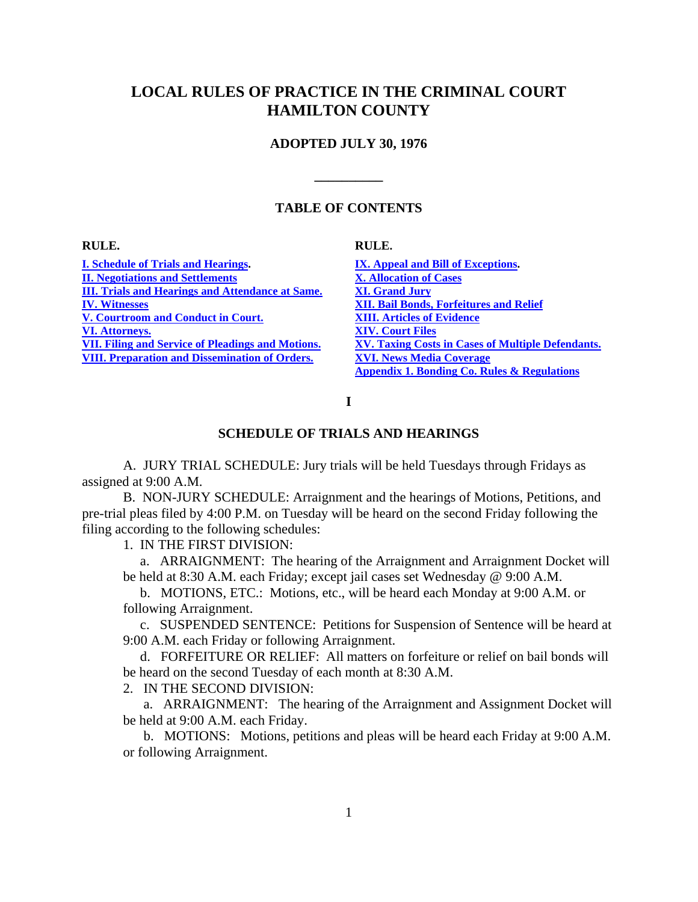# <span id="page-0-0"></span>**LOCAL RULES OF PRACTICE IN THE CRIMINAL COURT HAMILTON COUNTY**

### **ADOPTED JULY 30, 1976**

### **TABLE OF CONTENTS**

**\_\_\_\_\_\_\_\_\_\_** 

#### **RULE.**

**RULE.** 

**[I. Schedule of Trials and Hearings.](#page-0-0) [II. Negotiations and Settlements](#page-1-0) [III. Trials and Hearings and Attendance at Same.](#page-1-0) [IV. Witnesses](#page-2-0) [V. Courtroom and Conduct in Court.](#page-3-0) [VI. Attorneys.](#page-5-0) [VII. Filing and Service of Pleadings and Motions.](#page-5-0) [VIII. Preparation and Dissemination of Orders.](#page-6-0)** 

**[IX. Appeal and Bill of Exceptions.](#page-6-0) [X. Allocation of Cases](#page-7-0) [XI. Grand Jury](#page-8-0) [XII. Bail Bonds, Forfeitures and Relief](#page-9-0) [XIII. Articles of Evidence](#page-10-0) [XIV. Court Files](#page-11-0) [XV. Taxing Costs in Cases of Multiple Defendants.](#page-11-0) [XVI. News Media Coverage](#page-11-0) [Appendix 1. Bonding Co. Rules & Regulations](#page-14-0)**

**I** 

### **SCHEDULE OF TRIALS AND HEARINGS**

A. JURY TRIAL SCHEDULE: Jury trials will be held Tuesdays through Fridays as assigned at 9:00 A.M.

B. NON-JURY SCHEDULE: Arraignment and the hearings of Motions, Petitions, and pre-trial pleas filed by 4:00 P.M. on Tuesday will be heard on the second Friday following the filing according to the following schedules:

1. IN THE FIRST DIVISION:

 a. ARRAIGNMENT: The hearing of the Arraignment and Arraignment Docket will be held at 8:30 A.M. each Friday; except jail cases set Wednesday @ 9:00 A.M.

 b. MOTIONS, ETC.: Motions, etc., will be heard each Monday at 9:00 A.M. or following Arraignment.

 c. SUSPENDED SENTENCE: Petitions for Suspension of Sentence will be heard at 9:00 A.M. each Friday or following Arraignment.

 d. FORFEITURE OR RELIEF: All matters on forfeiture or relief on bail bonds will be heard on the second Tuesday of each month at 8:30 A.M.

2. IN THE SECOND DIVISION:

 a. ARRAIGNMENT: The hearing of the Arraignment and Assignment Docket will be held at 9:00 A.M. each Friday.

 b. MOTIONS: Motions, petitions and pleas will be heard each Friday at 9:00 A.M. or following Arraignment.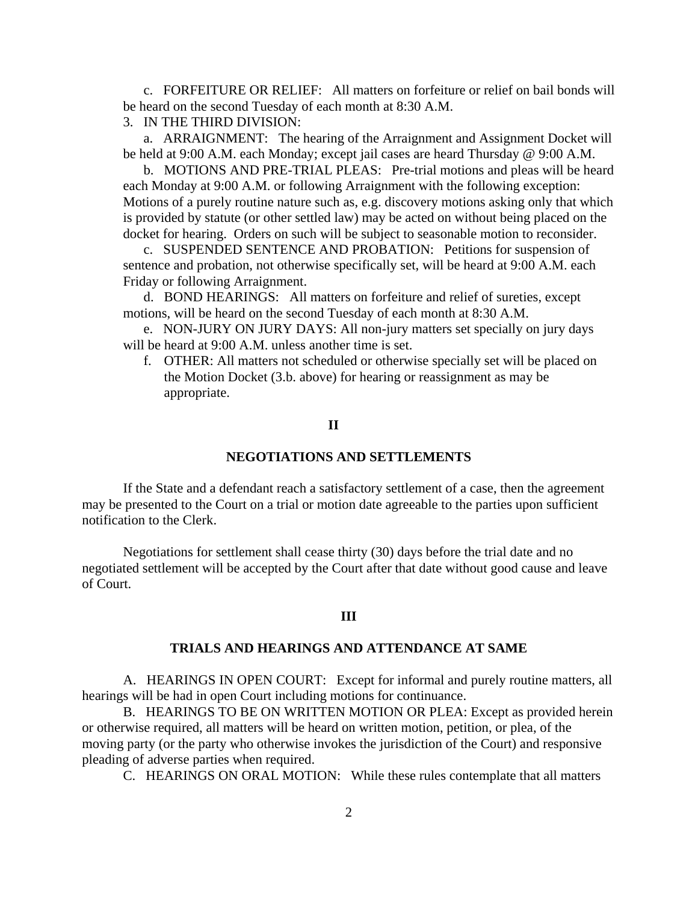<span id="page-1-0"></span> c. FORFEITURE OR RELIEF: All matters on forfeiture or relief on bail bonds will be heard on the second Tuesday of each month at 8:30 A.M.

3. IN THE THIRD DIVISION:

 a. ARRAIGNMENT: The hearing of the Arraignment and Assignment Docket will be held at 9:00 A.M. each Monday; except jail cases are heard Thursday @ 9:00 A.M.

 b. MOTIONS AND PRE-TRIAL PLEAS: Pre-trial motions and pleas will be heard each Monday at 9:00 A.M. or following Arraignment with the following exception: Motions of a purely routine nature such as, e.g. discovery motions asking only that which is provided by statute (or other settled law) may be acted on without being placed on the docket for hearing. Orders on such will be subject to seasonable motion to reconsider.

 c. SUSPENDED SENTENCE AND PROBATION: Petitions for suspension of sentence and probation, not otherwise specifically set, will be heard at 9:00 A.M. each Friday or following Arraignment.

 d. BOND HEARINGS: All matters on forfeiture and relief of sureties, except motions, will be heard on the second Tuesday of each month at 8:30 A.M.

 e. NON-JURY ON JURY DAYS: All non-jury matters set specially on jury days will be heard at 9:00 A.M. unless another time is set.

f. OTHER: All matters not scheduled or otherwise specially set will be placed on the Motion Docket (3.b. above) for hearing or reassignment as may be appropriate.

### **II**

### **NEGOTIATIONS AND SETTLEMENTS**

 If the State and a defendant reach a satisfactory settlement of a case, then the agreement may be presented to the Court on a trial or motion date agreeable to the parties upon sufficient notification to the Clerk.

 Negotiations for settlement shall cease thirty (30) days before the trial date and no negotiated settlement will be accepted by the Court after that date without good cause and leave of Court.

### **III**

#### **TRIALS AND HEARINGS AND ATTENDANCE AT SAME**

A. HEARINGS IN OPEN COURT: Except for informal and purely routine matters, all hearings will be had in open Court including motions for continuance.

B. HEARINGS TO BE ON WRITTEN MOTION OR PLEA: Except as provided herein or otherwise required, all matters will be heard on written motion, petition, or plea, of the moving party (or the party who otherwise invokes the jurisdiction of the Court) and responsive pleading of adverse parties when required.

C. HEARINGS ON ORAL MOTION: While these rules contemplate that all matters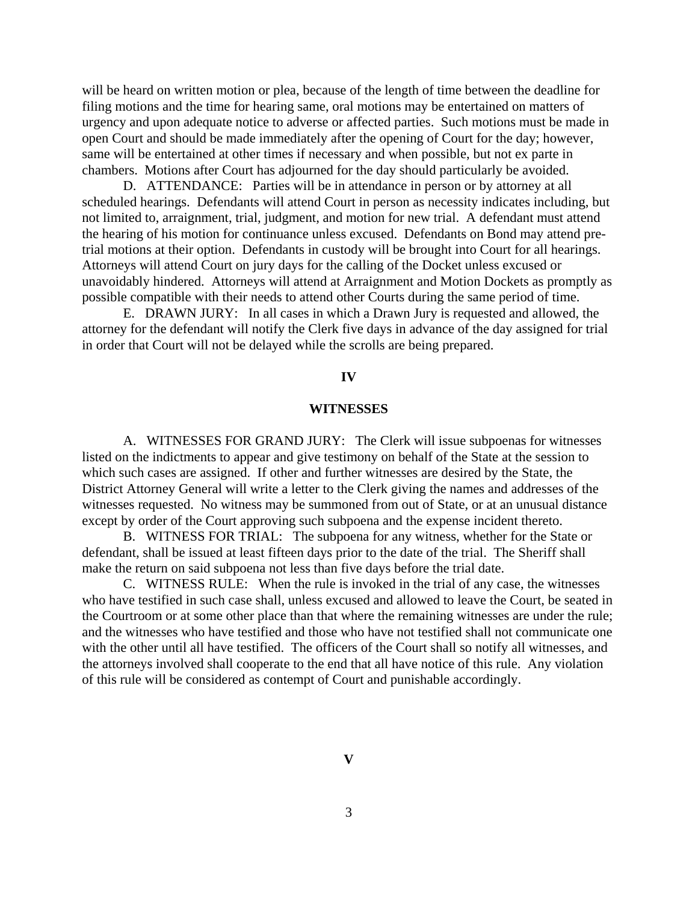<span id="page-2-0"></span>will be heard on written motion or plea, because of the length of time between the deadline for filing motions and the time for hearing same, oral motions may be entertained on matters of urgency and upon adequate notice to adverse or affected parties. Such motions must be made in open Court and should be made immediately after the opening of Court for the day; however, same will be entertained at other times if necessary and when possible, but not ex parte in chambers. Motions after Court has adjourned for the day should particularly be avoided.

D. ATTENDANCE: Parties will be in attendance in person or by attorney at all scheduled hearings. Defendants will attend Court in person as necessity indicates including, but not limited to, arraignment, trial, judgment, and motion for new trial. A defendant must attend the hearing of his motion for continuance unless excused. Defendants on Bond may attend pretrial motions at their option. Defendants in custody will be brought into Court for all hearings. Attorneys will attend Court on jury days for the calling of the Docket unless excused or unavoidably hindered. Attorneys will attend at Arraignment and Motion Dockets as promptly as possible compatible with their needs to attend other Courts during the same period of time.

E. DRAWN JURY: In all cases in which a Drawn Jury is requested and allowed, the attorney for the defendant will notify the Clerk five days in advance of the day assigned for trial in order that Court will not be delayed while the scrolls are being prepared.

### **IV**

### **WITNESSES**

A. WITNESSES FOR GRAND JURY: The Clerk will issue subpoenas for witnesses listed on the indictments to appear and give testimony on behalf of the State at the session to which such cases are assigned. If other and further witnesses are desired by the State, the District Attorney General will write a letter to the Clerk giving the names and addresses of the witnesses requested. No witness may be summoned from out of State, or at an unusual distance except by order of the Court approving such subpoena and the expense incident thereto.

B. WITNESS FOR TRIAL: The subpoena for any witness, whether for the State or defendant, shall be issued at least fifteen days prior to the date of the trial. The Sheriff shall make the return on said subpoena not less than five days before the trial date.

C. WITNESS RULE: When the rule is invoked in the trial of any case, the witnesses who have testified in such case shall, unless excused and allowed to leave the Court, be seated in the Courtroom or at some other place than that where the remaining witnesses are under the rule; and the witnesses who have testified and those who have not testified shall not communicate one with the other until all have testified. The officers of the Court shall so notify all witnesses, and the attorneys involved shall cooperate to the end that all have notice of this rule. Any violation of this rule will be considered as contempt of Court and punishable accordingly.

**V**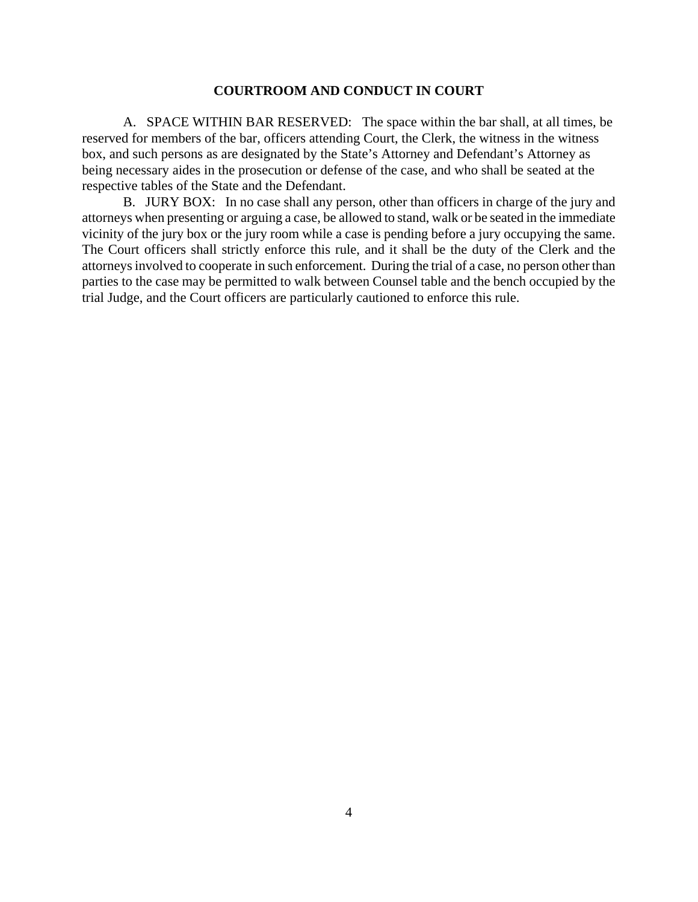### **COURTROOM AND CONDUCT IN COURT**

<span id="page-3-0"></span>A. SPACE WITHIN BAR RESERVED: The space within the bar shall, at all times, be reserved for members of the bar, officers attending Court, the Clerk, the witness in the witness box, and such persons as are designated by the State's Attorney and Defendant's Attorney as being necessary aides in the prosecution or defense of the case, and who shall be seated at the respective tables of the State and the Defendant.

B. JURY BOX: In no case shall any person, other than officers in charge of the jury and attorneys when presenting or arguing a case, be allowed to stand, walk or be seated in the immediate vicinity of the jury box or the jury room while a case is pending before a jury occupying the same. The Court officers shall strictly enforce this rule, and it shall be the duty of the Clerk and the attorneys involved to cooperate in such enforcement. During the trial of a case, no person other than parties to the case may be permitted to walk between Counsel table and the bench occupied by the trial Judge, and the Court officers are particularly cautioned to enforce this rule.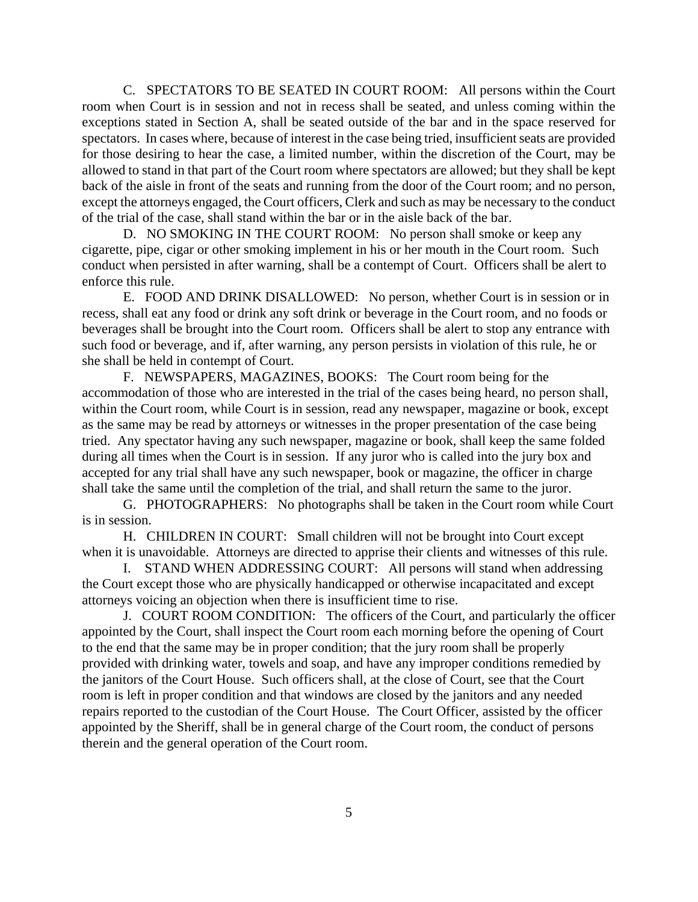C. SPECTATORS TO BE SEATED IN COURT ROOM: All persons within the Court room when Court is in session and not in recess shall be seated, and unless coming within the exceptions stated in Section A, shall be seated outside of the bar and in the space reserved for spectators. In cases where, because of interest in the case being tried, insufficient seats are provided for those desiring to hear the case, a limited number, within the discretion of the Court, may be allowed to stand in that part of the Court room where spectators are allowed; but they shall be kept back of the aisle in front of the seats and running from the door of the Court room; and no person, except the attorneys engaged, the Court officers, Clerk and such as may be necessary to the conduct of the trial of the case, shall stand within the bar or in the aisle back of the bar.

D. NO SMOKING IN THE COURT ROOM: No person shall smoke or keep any cigarette, pipe, cigar or other smoking implement in his or her mouth in the Court room. Such conduct when persisted in after warning, shall be a contempt of Court. Officers shall be alert to enforce this rule.

E. FOOD AND DRINK DISALLOWED: No person, whether Court is in session or in recess, shall eat any food or drink any soft drink or beverage in the Court room, and no foods or beverages shall be brought into the Court room. Officers shall be alert to stop any entrance with such food or beverage, and if, after warning, any person persists in violation of this rule, he or she shall be held in contempt of Court.

F. NEWSPAPERS, MAGAZINES, BOOKS: The Court room being for the accommodation of those who are interested in the trial of the cases being heard, no person shall, within the Court room, while Court is in session, read any newspaper, magazine or book, except as the same may be read by attorneys or witnesses in the proper presentation of the case being tried. Any spectator having any such newspaper, magazine or book, shall keep the same folded during all times when the Court is in session. If any juror who is called into the jury box and accepted for any trial shall have any such newspaper, book or magazine, the officer in charge shall take the same until the completion of the trial, and shall return the same to the juror.

G. PHOTOGRAPHERS: No photographs shall be taken in the Court room while Court is in session.

H. CHILDREN IN COURT: Small children will not be brought into Court except when it is unavoidable. Attorneys are directed to apprise their clients and witnesses of this rule.

I. STAND WHEN ADDRESSING COURT: All persons will stand when addressing the Court except those who are physically handicapped or otherwise incapacitated and except attorneys voicing an objection when there is insufficient time to rise.

J. COURT ROOM CONDITION: The officers of the Court, and particularly the officer appointed by the Court, shall inspect the Court room each morning before the opening of Court to the end that the same may be in proper condition; that the jury room shall be properly provided with drinking water, towels and soap, and have any improper conditions remedied by the janitors of the Court House. Such officers shall, at the close of Court, see that the Court room is left in proper condition and that windows are closed by the janitors and any needed repairs reported to the custodian of the Court House. The Court Officer, assisted by the officer appointed by the Sheriff, shall be in general charge of the Court room, the conduct of persons therein and the general operation of the Court room.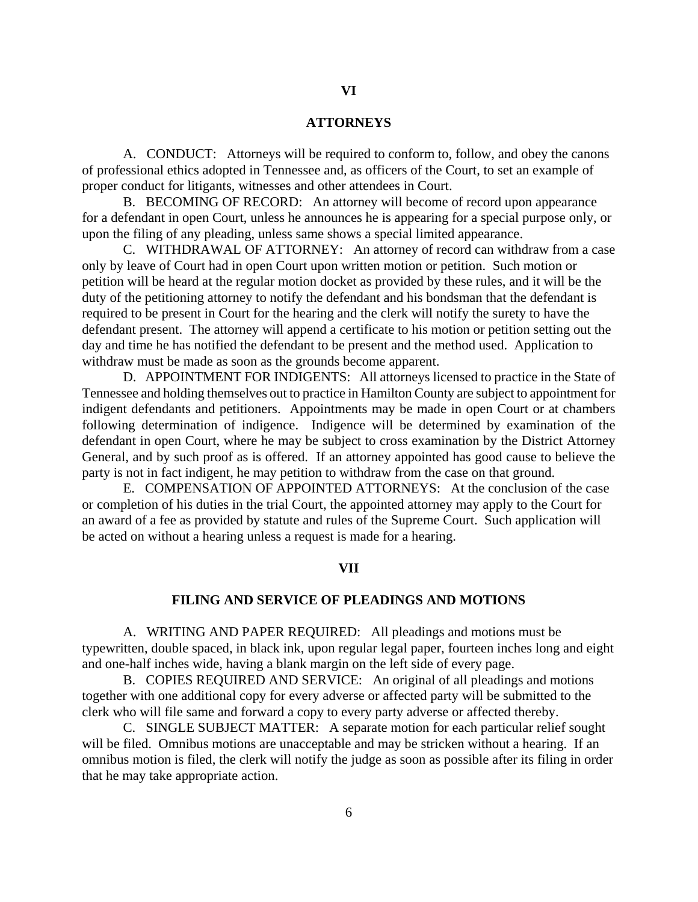### **ATTORNEYS**

<span id="page-5-0"></span>A. CONDUCT: Attorneys will be required to conform to, follow, and obey the canons of professional ethics adopted in Tennessee and, as officers of the Court, to set an example of proper conduct for litigants, witnesses and other attendees in Court.

B. BECOMING OF RECORD: An attorney will become of record upon appearance for a defendant in open Court, unless he announces he is appearing for a special purpose only, or upon the filing of any pleading, unless same shows a special limited appearance.

C. WITHDRAWAL OF ATTORNEY: An attorney of record can withdraw from a case only by leave of Court had in open Court upon written motion or petition. Such motion or petition will be heard at the regular motion docket as provided by these rules, and it will be the duty of the petitioning attorney to notify the defendant and his bondsman that the defendant is required to be present in Court for the hearing and the clerk will notify the surety to have the defendant present. The attorney will append a certificate to his motion or petition setting out the day and time he has notified the defendant to be present and the method used. Application to withdraw must be made as soon as the grounds become apparent.

D. APPOINTMENT FOR INDIGENTS: All attorneys licensed to practice in the State of Tennessee and holding themselves out to practice in Hamilton County are subject to appointment for indigent defendants and petitioners. Appointments may be made in open Court or at chambers following determination of indigence. Indigence will be determined by examination of the defendant in open Court, where he may be subject to cross examination by the District Attorney General, and by such proof as is offered. If an attorney appointed has good cause to believe the party is not in fact indigent, he may petition to withdraw from the case on that ground.

E. COMPENSATION OF APPOINTED ATTORNEYS: At the conclusion of the case or completion of his duties in the trial Court, the appointed attorney may apply to the Court for an award of a fee as provided by statute and rules of the Supreme Court. Such application will be acted on without a hearing unless a request is made for a hearing.

#### **VII**

### **FILING AND SERVICE OF PLEADINGS AND MOTIONS**

A. WRITING AND PAPER REQUIRED: All pleadings and motions must be typewritten, double spaced, in black ink, upon regular legal paper, fourteen inches long and eight and one-half inches wide, having a blank margin on the left side of every page.

B. COPIES REQUIRED AND SERVICE: An original of all pleadings and motions together with one additional copy for every adverse or affected party will be submitted to the clerk who will file same and forward a copy to every party adverse or affected thereby.

C. SINGLE SUBJECT MATTER: A separate motion for each particular relief sought will be filed. Omnibus motions are unacceptable and may be stricken without a hearing. If an omnibus motion is filed, the clerk will notify the judge as soon as possible after its filing in order that he may take appropriate action.

6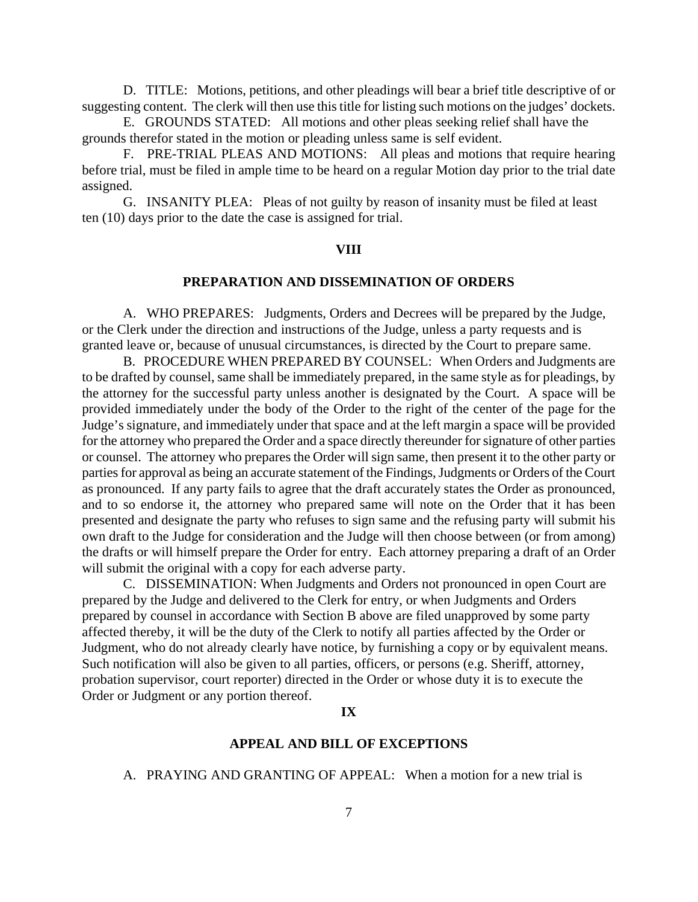<span id="page-6-0"></span>D. TITLE: Motions, petitions, and other pleadings will bear a brief title descriptive of or suggesting content. The clerk will then use this title for listing such motions on the judges' dockets.

E. GROUNDS STATED: All motions and other pleas seeking relief shall have the grounds therefor stated in the motion or pleading unless same is self evident.

F. PRE-TRIAL PLEAS AND MOTIONS: All pleas and motions that require hearing before trial, must be filed in ample time to be heard on a regular Motion day prior to the trial date assigned.

G. INSANITY PLEA: Pleas of not guilty by reason of insanity must be filed at least ten (10) days prior to the date the case is assigned for trial.

### **VIII**

## **PREPARATION AND DISSEMINATION OF ORDERS**

A. WHO PREPARES: Judgments, Orders and Decrees will be prepared by the Judge, or the Clerk under the direction and instructions of the Judge, unless a party requests and is granted leave or, because of unusual circumstances, is directed by the Court to prepare same.

B. PROCEDURE WHEN PREPARED BY COUNSEL: When Orders and Judgments are to be drafted by counsel, same shall be immediately prepared, in the same style as for pleadings, by the attorney for the successful party unless another is designated by the Court. A space will be provided immediately under the body of the Order to the right of the center of the page for the Judge's signature, and immediately under that space and at the left margin a space will be provided for the attorney who prepared the Order and a space directly thereunder for signature of other parties or counsel. The attorney who prepares the Order will sign same, then present it to the other party or parties for approval as being an accurate statement of the Findings, Judgments or Orders of the Court as pronounced. If any party fails to agree that the draft accurately states the Order as pronounced, and to so endorse it, the attorney who prepared same will note on the Order that it has been presented and designate the party who refuses to sign same and the refusing party will submit his own draft to the Judge for consideration and the Judge will then choose between (or from among) the drafts or will himself prepare the Order for entry. Each attorney preparing a draft of an Order will submit the original with a copy for each adverse party.

C. DISSEMINATION: When Judgments and Orders not pronounced in open Court are prepared by the Judge and delivered to the Clerk for entry, or when Judgments and Orders prepared by counsel in accordance with Section B above are filed unapproved by some party affected thereby, it will be the duty of the Clerk to notify all parties affected by the Order or Judgment, who do not already clearly have notice, by furnishing a copy or by equivalent means. Such notification will also be given to all parties, officers, or persons (e.g. Sheriff, attorney, probation supervisor, court reporter) directed in the Order or whose duty it is to execute the Order or Judgment or any portion thereof.

#### **IX**

### **APPEAL AND BILL OF EXCEPTIONS**

A. PRAYING AND GRANTING OF APPEAL: When a motion for a new trial is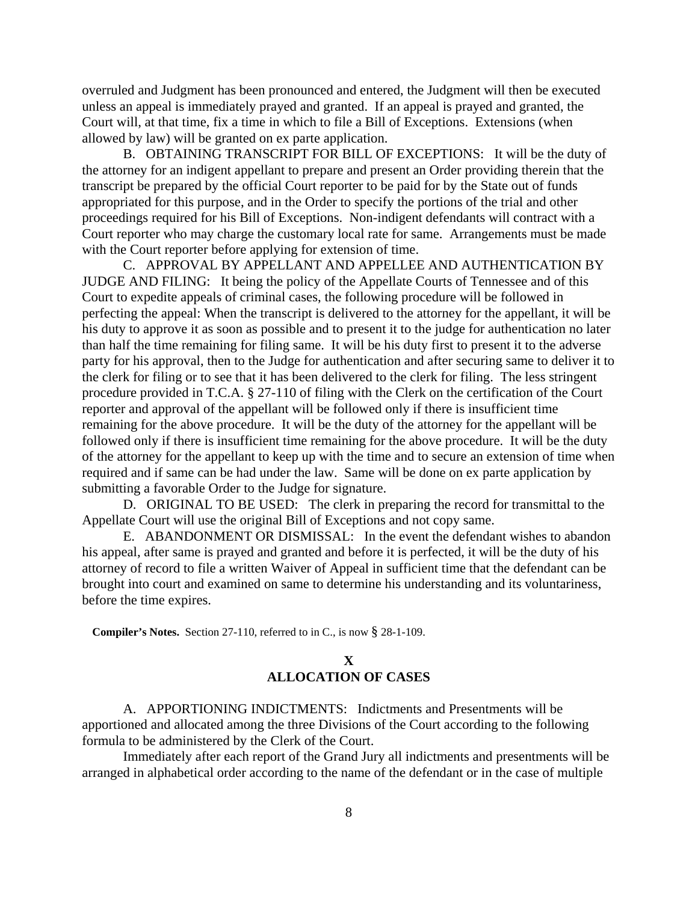<span id="page-7-0"></span>overruled and Judgment has been pronounced and entered, the Judgment will then be executed unless an appeal is immediately prayed and granted. If an appeal is prayed and granted, the Court will, at that time, fix a time in which to file a Bill of Exceptions. Extensions (when allowed by law) will be granted on ex parte application.

B. OBTAINING TRANSCRIPT FOR BILL OF EXCEPTIONS: It will be the duty of the attorney for an indigent appellant to prepare and present an Order providing therein that the transcript be prepared by the official Court reporter to be paid for by the State out of funds appropriated for this purpose, and in the Order to specify the portions of the trial and other proceedings required for his Bill of Exceptions. Non-indigent defendants will contract with a Court reporter who may charge the customary local rate for same. Arrangements must be made with the Court reporter before applying for extension of time.

C. APPROVAL BY APPELLANT AND APPELLEE AND AUTHENTICATION BY JUDGE AND FILING: It being the policy of the Appellate Courts of Tennessee and of this Court to expedite appeals of criminal cases, the following procedure will be followed in perfecting the appeal: When the transcript is delivered to the attorney for the appellant, it will be his duty to approve it as soon as possible and to present it to the judge for authentication no later than half the time remaining for filing same. It will be his duty first to present it to the adverse party for his approval, then to the Judge for authentication and after securing same to deliver it to the clerk for filing or to see that it has been delivered to the clerk for filing. The less stringent procedure provided in T.C.A. § 27-110 of filing with the Clerk on the certification of the Court reporter and approval of the appellant will be followed only if there is insufficient time remaining for the above procedure. It will be the duty of the attorney for the appellant will be followed only if there is insufficient time remaining for the above procedure. It will be the duty of the attorney for the appellant to keep up with the time and to secure an extension of time when required and if same can be had under the law. Same will be done on ex parte application by submitting a favorable Order to the Judge for signature.

D. ORIGINAL TO BE USED: The clerk in preparing the record for transmittal to the Appellate Court will use the original Bill of Exceptions and not copy same.

E. ABANDONMENT OR DISMISSAL: In the event the defendant wishes to abandon his appeal, after same is prayed and granted and before it is perfected, it will be the duty of his attorney of record to file a written Waiver of Appeal in sufficient time that the defendant can be brought into court and examined on same to determine his understanding and its voluntariness, before the time expires.

**Compiler's Notes.** Section 27-110, referred to in C., is now § 28-1-109.

# **X ALLOCATION OF CASES**

A. APPORTIONING INDICTMENTS: Indictments and Presentments will be apportioned and allocated among the three Divisions of the Court according to the following formula to be administered by the Clerk of the Court.

Immediately after each report of the Grand Jury all indictments and presentments will be arranged in alphabetical order according to the name of the defendant or in the case of multiple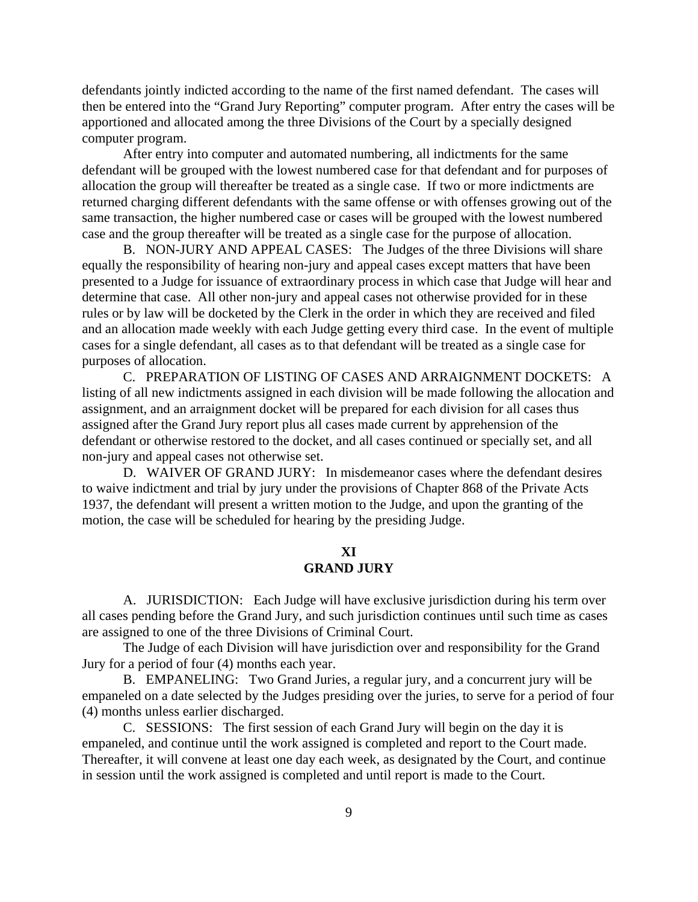<span id="page-8-0"></span>defendants jointly indicted according to the name of the first named defendant. The cases will then be entered into the "Grand Jury Reporting" computer program. After entry the cases will be apportioned and allocated among the three Divisions of the Court by a specially designed computer program.

After entry into computer and automated numbering, all indictments for the same defendant will be grouped with the lowest numbered case for that defendant and for purposes of allocation the group will thereafter be treated as a single case. If two or more indictments are returned charging different defendants with the same offense or with offenses growing out of the same transaction, the higher numbered case or cases will be grouped with the lowest numbered case and the group thereafter will be treated as a single case for the purpose of allocation.

B. NON-JURY AND APPEAL CASES: The Judges of the three Divisions will share equally the responsibility of hearing non-jury and appeal cases except matters that have been presented to a Judge for issuance of extraordinary process in which case that Judge will hear and determine that case. All other non-jury and appeal cases not otherwise provided for in these rules or by law will be docketed by the Clerk in the order in which they are received and filed and an allocation made weekly with each Judge getting every third case. In the event of multiple cases for a single defendant, all cases as to that defendant will be treated as a single case for purposes of allocation.

C. PREPARATION OF LISTING OF CASES AND ARRAIGNMENT DOCKETS: A listing of all new indictments assigned in each division will be made following the allocation and assignment, and an arraignment docket will be prepared for each division for all cases thus assigned after the Grand Jury report plus all cases made current by apprehension of the defendant or otherwise restored to the docket, and all cases continued or specially set, and all non-jury and appeal cases not otherwise set.

D. WAIVER OF GRAND JURY: In misdemeanor cases where the defendant desires to waive indictment and trial by jury under the provisions of Chapter 868 of the Private Acts 1937, the defendant will present a written motion to the Judge, and upon the granting of the motion, the case will be scheduled for hearing by the presiding Judge.

# **XI GRAND JURY**

A. JURISDICTION: Each Judge will have exclusive jurisdiction during his term over all cases pending before the Grand Jury, and such jurisdiction continues until such time as cases are assigned to one of the three Divisions of Criminal Court.

The Judge of each Division will have jurisdiction over and responsibility for the Grand Jury for a period of four (4) months each year.

B. EMPANELING: Two Grand Juries, a regular jury, and a concurrent jury will be empaneled on a date selected by the Judges presiding over the juries, to serve for a period of four (4) months unless earlier discharged.

C. SESSIONS: The first session of each Grand Jury will begin on the day it is empaneled, and continue until the work assigned is completed and report to the Court made. Thereafter, it will convene at least one day each week, as designated by the Court, and continue in session until the work assigned is completed and until report is made to the Court.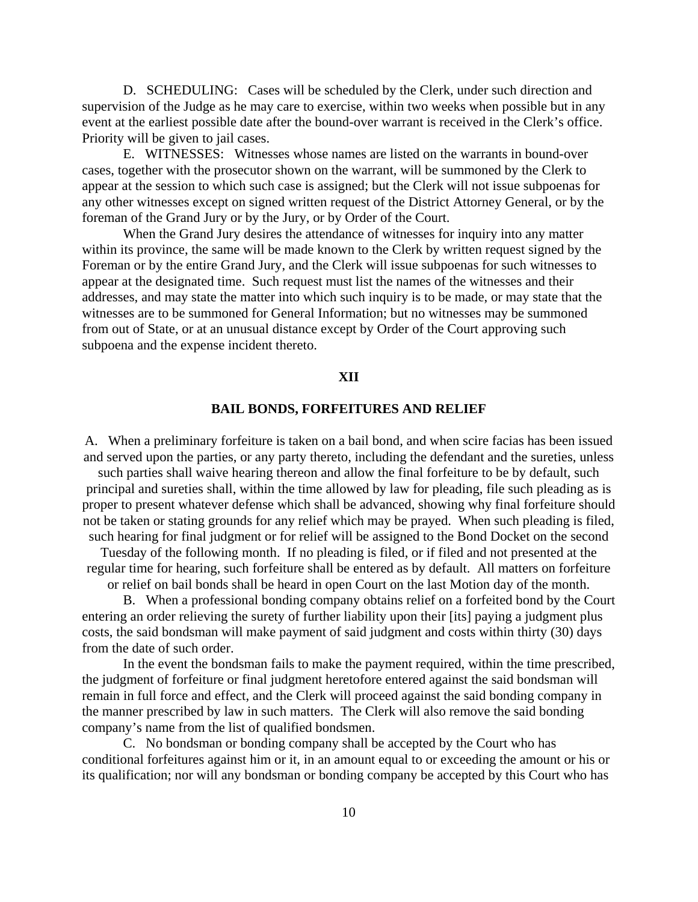<span id="page-9-0"></span>D. SCHEDULING: Cases will be scheduled by the Clerk, under such direction and supervision of the Judge as he may care to exercise, within two weeks when possible but in any event at the earliest possible date after the bound-over warrant is received in the Clerk's office. Priority will be given to jail cases.

E. WITNESSES: Witnesses whose names are listed on the warrants in bound-over cases, together with the prosecutor shown on the warrant, will be summoned by the Clerk to appear at the session to which such case is assigned; but the Clerk will not issue subpoenas for any other witnesses except on signed written request of the District Attorney General, or by the foreman of the Grand Jury or by the Jury, or by Order of the Court.

When the Grand Jury desires the attendance of witnesses for inquiry into any matter within its province, the same will be made known to the Clerk by written request signed by the Foreman or by the entire Grand Jury, and the Clerk will issue subpoenas for such witnesses to appear at the designated time. Such request must list the names of the witnesses and their addresses, and may state the matter into which such inquiry is to be made, or may state that the witnesses are to be summoned for General Information; but no witnesses may be summoned from out of State, or at an unusual distance except by Order of the Court approving such subpoena and the expense incident thereto.

### **XII**

### **BAIL BONDS, FORFEITURES AND RELIEF**

A. When a preliminary forfeiture is taken on a bail bond, and when scire facias has been issued and served upon the parties, or any party thereto, including the defendant and the sureties, unless such parties shall waive hearing thereon and allow the final forfeiture to be by default, such principal and sureties shall, within the time allowed by law for pleading, file such pleading as is proper to present whatever defense which shall be advanced, showing why final forfeiture should

not be taken or stating grounds for any relief which may be prayed. When such pleading is filed, such hearing for final judgment or for relief will be assigned to the Bond Docket on the second Tuesday of the following month. If no pleading is filed, or if filed and not presented at the regular time for hearing, such forfeiture shall be entered as by default. All matters on forfeiture

or relief on bail bonds shall be heard in open Court on the last Motion day of the month.

B. When a professional bonding company obtains relief on a forfeited bond by the Court entering an order relieving the surety of further liability upon their [its] paying a judgment plus costs, the said bondsman will make payment of said judgment and costs within thirty (30) days from the date of such order.

In the event the bondsman fails to make the payment required, within the time prescribed, the judgment of forfeiture or final judgment heretofore entered against the said bondsman will remain in full force and effect, and the Clerk will proceed against the said bonding company in the manner prescribed by law in such matters. The Clerk will also remove the said bonding company's name from the list of qualified bondsmen.

C. No bondsman or bonding company shall be accepted by the Court who has conditional forfeitures against him or it, in an amount equal to or exceeding the amount or his or its qualification; nor will any bondsman or bonding company be accepted by this Court who has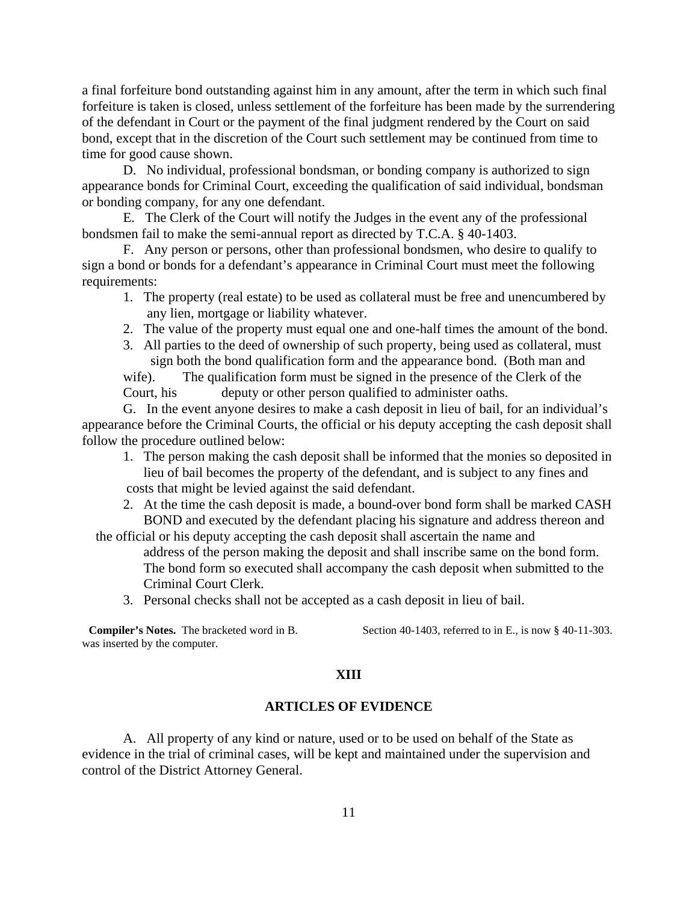<span id="page-10-0"></span>a final forfeiture bond outstanding against him in any amount, after the term in which such final forfeiture is taken is closed, unless settlement of the forfeiture has been made by the surrendering of the defendant in Court or the payment of the final judgment rendered by the Court on said bond, except that in the discretion of the Court such settlement may be continued from time to time for good cause shown.

D. No individual, professional bondsman, or bonding company is authorized to sign appearance bonds for Criminal Court, exceeding the qualification of said individual, bondsman or bonding company, for any one defendant.

E. The Clerk of the Court will notify the Judges in the event any of the professional bondsmen fail to make the semi-annual report as directed by T.C.A. § 40-1403.

F. Any person or persons, other than professional bondsmen, who desire to qualify to sign a bond or bonds for a defendant's appearance in Criminal Court must meet the following requirements:

- 1. The property (real estate) to be used as collateral must be free and unencumbered by any lien, mortgage or liability whatever.
- 2. The value of the property must equal one and one-half times the amount of the bond.
- 3. All parties to the deed of ownership of such property, being used as collateral, must sign both the bond qualification form and the appearance bond. (Both man and

wife). The qualification form must be signed in the presence of the Clerk of the Court, his deputy or other person qualified to administer oaths.

G. In the event anyone desires to make a cash deposit in lieu of bail, for an individual's appearance before the Criminal Courts, the official or his deputy accepting the cash deposit shall follow the procedure outlined below:

- 1. The person making the cash deposit shall be informed that the monies so deposited in lieu of bail becomes the property of the defendant, and is subject to any fines and costs that might be levied against the said defendant.
- 2. At the time the cash deposit is made, a bound-over bond form shall be marked CASH BOND and executed by the defendant placing his signature and address thereon and
- the official or his deputy accepting the cash deposit shall ascertain the name and address of the person making the deposit and shall inscribe same on the bond form. The bond form so executed shall accompany the cash deposit when submitted to the Criminal Court Clerk.
	- 3. Personal checks shall not be accepted as a cash deposit in lieu of bail.

**Compiler's Notes.** The bracketed word in B. Section 40-1403, referred to in E., is now § 40-11-303. was inserted by the computer.

### **XIII**

#### **ARTICLES OF EVIDENCE**

A. All property of any kind or nature, used or to be used on behalf of the State as evidence in the trial of criminal cases, will be kept and maintained under the supervision and control of the District Attorney General.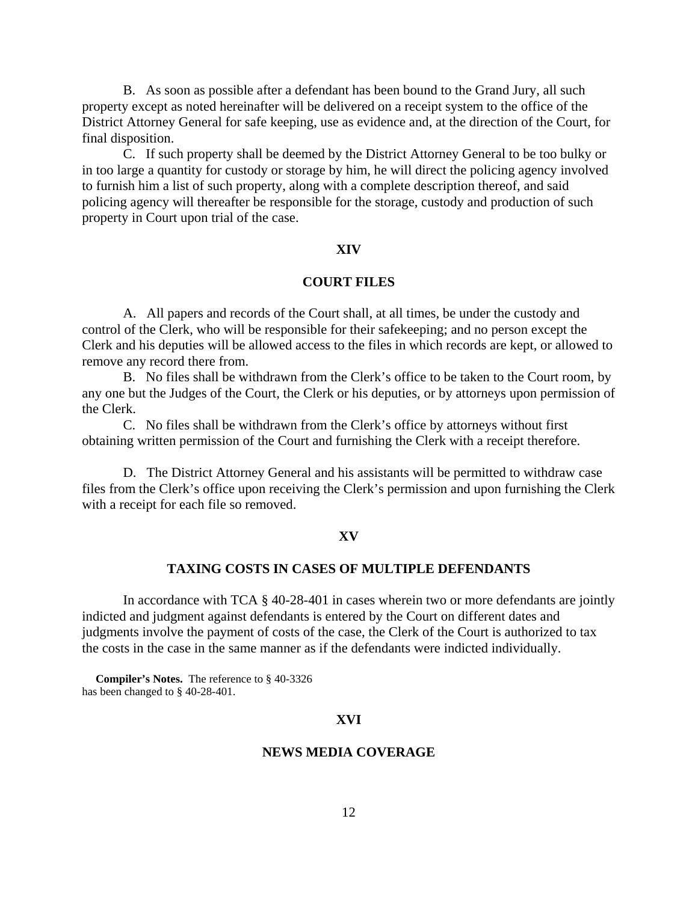<span id="page-11-0"></span>B. As soon as possible after a defendant has been bound to the Grand Jury, all such property except as noted hereinafter will be delivered on a receipt system to the office of the District Attorney General for safe keeping, use as evidence and, at the direction of the Court, for final disposition.

C. If such property shall be deemed by the District Attorney General to be too bulky or in too large a quantity for custody or storage by him, he will direct the policing agency involved to furnish him a list of such property, along with a complete description thereof, and said policing agency will thereafter be responsible for the storage, custody and production of such property in Court upon trial of the case.

### **XIV**

## **COURT FILES**

A. All papers and records of the Court shall, at all times, be under the custody and control of the Clerk, who will be responsible for their safekeeping; and no person except the Clerk and his deputies will be allowed access to the files in which records are kept, or allowed to remove any record there from.

B. No files shall be withdrawn from the Clerk's office to be taken to the Court room, by any one but the Judges of the Court, the Clerk or his deputies, or by attorneys upon permission of the Clerk.

C. No files shall be withdrawn from the Clerk's office by attorneys without first obtaining written permission of the Court and furnishing the Clerk with a receipt therefore.

D. The District Attorney General and his assistants will be permitted to withdraw case files from the Clerk's office upon receiving the Clerk's permission and upon furnishing the Clerk with a receipt for each file so removed.

#### **XV**

#### **TAXING COSTS IN CASES OF MULTIPLE DEFENDANTS**

In accordance with TCA § 40-28-401 in cases wherein two or more defendants are jointly indicted and judgment against defendants is entered by the Court on different dates and judgments involve the payment of costs of the case, the Clerk of the Court is authorized to tax the costs in the case in the same manner as if the defendants were indicted individually.

 **Compiler's Notes.** The reference to § 40-3326 has been changed to § 40-28-401.

## **XVI**

### **NEWS MEDIA COVERAGE**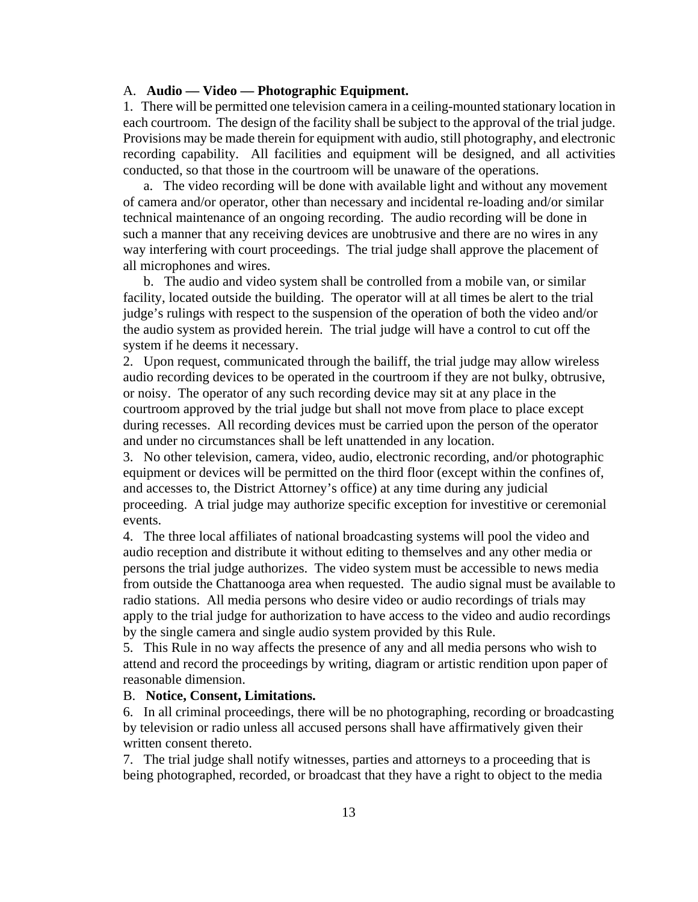#### A. **Audio — Video — Photographic Equipment.**

1. There will be permitted one television camera in a ceiling-mounted stationary location in each courtroom. The design of the facility shall be subject to the approval of the trial judge. Provisions may be made therein for equipment with audio, still photography, and electronic recording capability. All facilities and equipment will be designed, and all activities conducted, so that those in the courtroom will be unaware of the operations.

 a. The video recording will be done with available light and without any movement of camera and/or operator, other than necessary and incidental re-loading and/or similar technical maintenance of an ongoing recording. The audio recording will be done in such a manner that any receiving devices are unobtrusive and there are no wires in any way interfering with court proceedings. The trial judge shall approve the placement of all microphones and wires.

 b. The audio and video system shall be controlled from a mobile van, or similar facility, located outside the building. The operator will at all times be alert to the trial judge's rulings with respect to the suspension of the operation of both the video and/or the audio system as provided herein. The trial judge will have a control to cut off the system if he deems it necessary.

2. Upon request, communicated through the bailiff, the trial judge may allow wireless audio recording devices to be operated in the courtroom if they are not bulky, obtrusive, or noisy. The operator of any such recording device may sit at any place in the courtroom approved by the trial judge but shall not move from place to place except during recesses. All recording devices must be carried upon the person of the operator and under no circumstances shall be left unattended in any location.

3. No other television, camera, video, audio, electronic recording, and/or photographic equipment or devices will be permitted on the third floor (except within the confines of, and accesses to, the District Attorney's office) at any time during any judicial proceeding. A trial judge may authorize specific exception for investitive or ceremonial events.

4. The three local affiliates of national broadcasting systems will pool the video and audio reception and distribute it without editing to themselves and any other media or persons the trial judge authorizes. The video system must be accessible to news media from outside the Chattanooga area when requested. The audio signal must be available to radio stations. All media persons who desire video or audio recordings of trials may apply to the trial judge for authorization to have access to the video and audio recordings by the single camera and single audio system provided by this Rule.

5. This Rule in no way affects the presence of any and all media persons who wish to attend and record the proceedings by writing, diagram or artistic rendition upon paper of reasonable dimension.

### B. **Notice, Consent, Limitations.**

6. In all criminal proceedings, there will be no photographing, recording or broadcasting by television or radio unless all accused persons shall have affirmatively given their written consent thereto.

7. The trial judge shall notify witnesses, parties and attorneys to a proceeding that is being photographed, recorded, or broadcast that they have a right to object to the media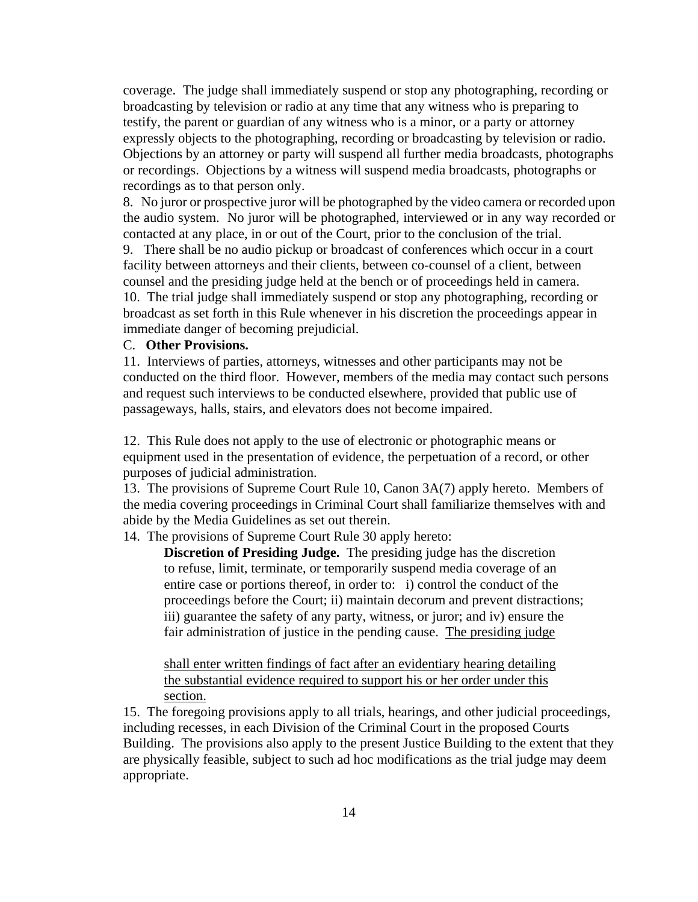coverage. The judge shall immediately suspend or stop any photographing, recording or broadcasting by television or radio at any time that any witness who is preparing to testify, the parent or guardian of any witness who is a minor, or a party or attorney expressly objects to the photographing, recording or broadcasting by television or radio. Objections by an attorney or party will suspend all further media broadcasts, photographs or recordings. Objections by a witness will suspend media broadcasts, photographs or recordings as to that person only.

8. No juror or prospective juror will be photographed by the video camera or recorded upon the audio system. No juror will be photographed, interviewed or in any way recorded or contacted at any place, in or out of the Court, prior to the conclusion of the trial.

 9. There shall be no audio pickup or broadcast of conferences which occur in a court facility between attorneys and their clients, between co-counsel of a client, between counsel and the presiding judge held at the bench or of proceedings held in camera. 10. The trial judge shall immediately suspend or stop any photographing, recording or broadcast as set forth in this Rule whenever in his discretion the proceedings appear in immediate danger of becoming prejudicial.

### C. **Other Provisions.**

11. Interviews of parties, attorneys, witnesses and other participants may not be conducted on the third floor. However, members of the media may contact such persons and request such interviews to be conducted elsewhere, provided that public use of passageways, halls, stairs, and elevators does not become impaired.

12. This Rule does not apply to the use of electronic or photographic means or equipment used in the presentation of evidence, the perpetuation of a record, or other purposes of judicial administration.

13. The provisions of Supreme Court Rule 10, Canon 3A(7) apply hereto. Members of the media covering proceedings in Criminal Court shall familiarize themselves with and abide by the Media Guidelines as set out therein.

14. The provisions of Supreme Court Rule 30 apply hereto:

**Discretion of Presiding Judge.** The presiding judge has the discretion to refuse, limit, terminate, or temporarily suspend media coverage of an entire case or portions thereof, in order to: i) control the conduct of the proceedings before the Court; ii) maintain decorum and prevent distractions; iii) guarantee the safety of any party, witness, or juror; and iv) ensure the fair administration of justice in the pending cause. The presiding judge

shall enter written findings of fact after an evidentiary hearing detailing the substantial evidence required to support his or her order under this section.

15. The foregoing provisions apply to all trials, hearings, and other judicial proceedings, including recesses, in each Division of the Criminal Court in the proposed Courts Building. The provisions also apply to the present Justice Building to the extent that they are physically feasible, subject to such ad hoc modifications as the trial judge may deem appropriate.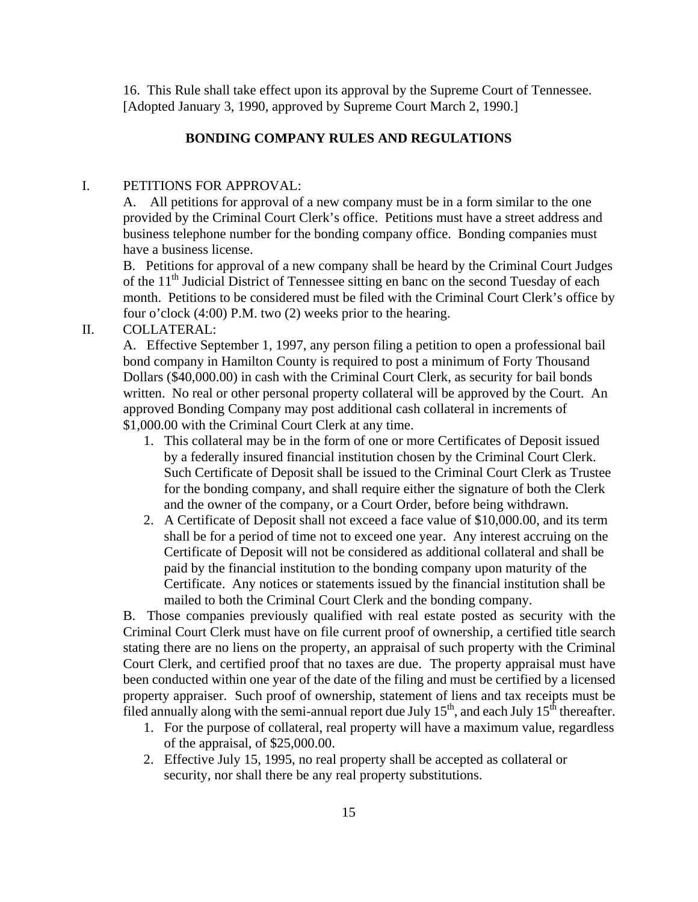<span id="page-14-0"></span>16. This Rule shall take effect upon its approval by the Supreme Court of Tennessee. [Adopted January 3, 1990, approved by Supreme Court March 2, 1990.]

## **BONDING COMPANY RULES AND REGULATIONS**

# I. PETITIONS FOR APPROVAL:

A. All petitions for approval of a new company must be in a form similar to the one provided by the Criminal Court Clerk's office. Petitions must have a street address and business telephone number for the bonding company office. Bonding companies must have a business license.

B. Petitions for approval of a new company shall be heard by the Criminal Court Judges of the  $11<sup>th</sup>$  Judicial District of Tennessee sitting en banc on the second Tuesday of each month. Petitions to be considered must be filed with the Criminal Court Clerk's office by four o'clock (4:00) P.M. two (2) weeks prior to the hearing.

II. COLLATERAL:

A. Effective September 1, 1997, any person filing a petition to open a professional bail bond company in Hamilton County is required to post a minimum of Forty Thousand Dollars (\$40,000.00) in cash with the Criminal Court Clerk, as security for bail bonds written. No real or other personal property collateral will be approved by the Court. An approved Bonding Company may post additional cash collateral in increments of \$1,000.00 with the Criminal Court Clerk at any time.

- 1. This collateral may be in the form of one or more Certificates of Deposit issued by a federally insured financial institution chosen by the Criminal Court Clerk. Such Certificate of Deposit shall be issued to the Criminal Court Clerk as Trustee for the bonding company, and shall require either the signature of both the Clerk and the owner of the company, or a Court Order, before being withdrawn.
- 2. A Certificate of Deposit shall not exceed a face value of \$10,000.00, and its term shall be for a period of time not to exceed one year. Any interest accruing on the Certificate of Deposit will not be considered as additional collateral and shall be paid by the financial institution to the bonding company upon maturity of the Certificate. Any notices or statements issued by the financial institution shall be mailed to both the Criminal Court Clerk and the bonding company.

B. Those companies previously qualified with real estate posted as security with the Criminal Court Clerk must have on file current proof of ownership, a certified title search stating there are no liens on the property, an appraisal of such property with the Criminal Court Clerk, and certified proof that no taxes are due. The property appraisal must have been conducted within one year of the date of the filing and must be certified by a licensed property appraiser. Such proof of ownership, statement of liens and tax receipts must be filed annually along with the semi-annual report due July  $15<sup>th</sup>$ , and each July  $15<sup>th</sup>$  thereafter.

- 1. For the purpose of collateral, real property will have a maximum value, regardless of the appraisal, of \$25,000.00.
- 2. Effective July 15, 1995, no real property shall be accepted as collateral or security, nor shall there be any real property substitutions.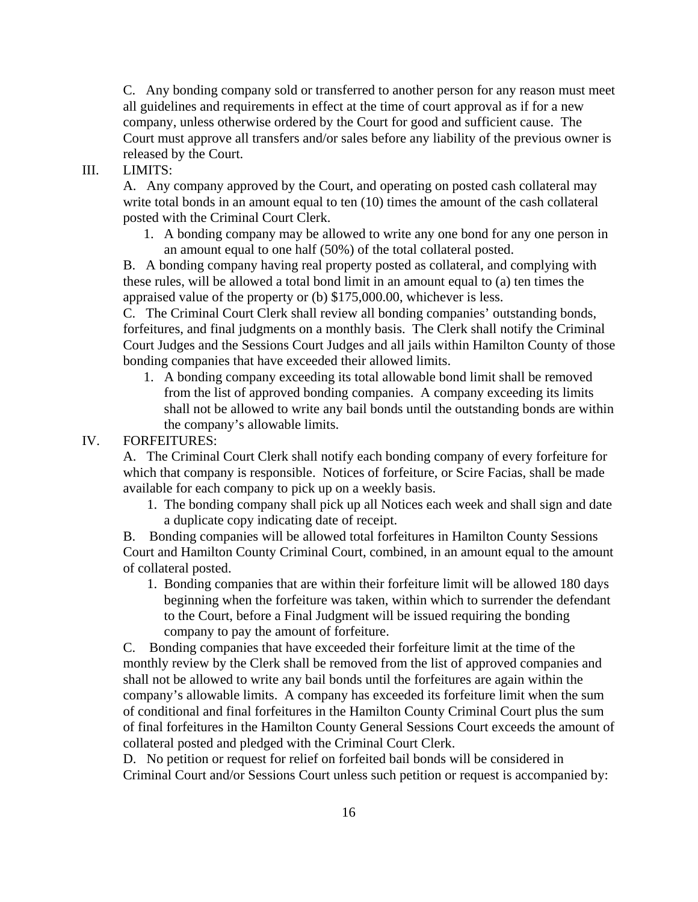C. Any bonding company sold or transferred to another person for any reason must meet all guidelines and requirements in effect at the time of court approval as if for a new company, unless otherwise ordered by the Court for good and sufficient cause. The Court must approve all transfers and/or sales before any liability of the previous owner is released by the Court.

# III. LIMITS:

A. Any company approved by the Court, and operating on posted cash collateral may write total bonds in an amount equal to ten (10) times the amount of the cash collateral posted with the Criminal Court Clerk.

 1. A bonding company may be allowed to write any one bond for any one person in an amount equal to one half (50%) of the total collateral posted.

B. A bonding company having real property posted as collateral, and complying with these rules, will be allowed a total bond limit in an amount equal to (a) ten times the appraised value of the property or (b) \$175,000.00, whichever is less.

C. The Criminal Court Clerk shall review all bonding companies' outstanding bonds, forfeitures, and final judgments on a monthly basis. The Clerk shall notify the Criminal Court Judges and the Sessions Court Judges and all jails within Hamilton County of those bonding companies that have exceeded their allowed limits.

1. A bonding company exceeding its total allowable bond limit shall be removed from the list of approved bonding companies. A company exceeding its limits shall not be allowed to write any bail bonds until the outstanding bonds are within the company's allowable limits.

## IV. FORFEITURES:

A. The Criminal Court Clerk shall notify each bonding company of every forfeiture for which that company is responsible. Notices of forfeiture, or Scire Facias, shall be made available for each company to pick up on a weekly basis.

1. The bonding company shall pick up all Notices each week and shall sign and date a duplicate copy indicating date of receipt.

B. Bonding companies will be allowed total forfeitures in Hamilton County Sessions Court and Hamilton County Criminal Court, combined, in an amount equal to the amount of collateral posted.

1. Bonding companies that are within their forfeiture limit will be allowed 180 days beginning when the forfeiture was taken, within which to surrender the defendant to the Court, before a Final Judgment will be issued requiring the bonding company to pay the amount of forfeiture.

C. Bonding companies that have exceeded their forfeiture limit at the time of the monthly review by the Clerk shall be removed from the list of approved companies and shall not be allowed to write any bail bonds until the forfeitures are again within the company's allowable limits. A company has exceeded its forfeiture limit when the sum of conditional and final forfeitures in the Hamilton County Criminal Court plus the sum of final forfeitures in the Hamilton County General Sessions Court exceeds the amount of collateral posted and pledged with the Criminal Court Clerk.

D. No petition or request for relief on forfeited bail bonds will be considered in Criminal Court and/or Sessions Court unless such petition or request is accompanied by: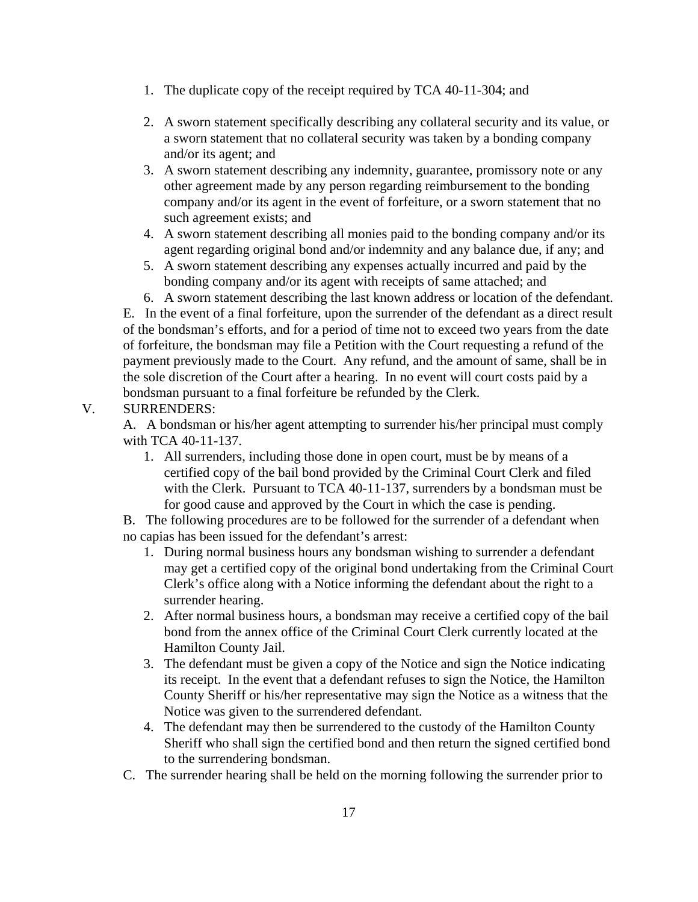- 1. The duplicate copy of the receipt required by TCA 40-11-304; and
- 2. A sworn statement specifically describing any collateral security and its value, or a sworn statement that no collateral security was taken by a bonding company and/or its agent; and
- 3. A sworn statement describing any indemnity, guarantee, promissory note or any other agreement made by any person regarding reimbursement to the bonding company and/or its agent in the event of forfeiture, or a sworn statement that no such agreement exists; and
- 4. A sworn statement describing all monies paid to the bonding company and/or its agent regarding original bond and/or indemnity and any balance due, if any; and
- 5. A sworn statement describing any expenses actually incurred and paid by the bonding company and/or its agent with receipts of same attached; and

6. A sworn statement describing the last known address or location of the defendant. E. In the event of a final forfeiture, upon the surrender of the defendant as a direct result of the bondsman's efforts, and for a period of time not to exceed two years from the date of forfeiture, the bondsman may file a Petition with the Court requesting a refund of the payment previously made to the Court. Any refund, and the amount of same, shall be in the sole discretion of the Court after a hearing. In no event will court costs paid by a bondsman pursuant to a final forfeiture be refunded by the Clerk.

# V. SURRENDERS:

A. A bondsman or his/her agent attempting to surrender his/her principal must comply with TCA 40-11-137.

1. All surrenders, including those done in open court, must be by means of a certified copy of the bail bond provided by the Criminal Court Clerk and filed with the Clerk. Pursuant to TCA 40-11-137, surrenders by a bondsman must be for good cause and approved by the Court in which the case is pending.

B. The following procedures are to be followed for the surrender of a defendant when no capias has been issued for the defendant's arrest:

- 1. During normal business hours any bondsman wishing to surrender a defendant may get a certified copy of the original bond undertaking from the Criminal Court Clerk's office along with a Notice informing the defendant about the right to a surrender hearing.
- 2. After normal business hours, a bondsman may receive a certified copy of the bail bond from the annex office of the Criminal Court Clerk currently located at the Hamilton County Jail.
- 3. The defendant must be given a copy of the Notice and sign the Notice indicating its receipt. In the event that a defendant refuses to sign the Notice, the Hamilton County Sheriff or his/her representative may sign the Notice as a witness that the Notice was given to the surrendered defendant.
- 4. The defendant may then be surrendered to the custody of the Hamilton County Sheriff who shall sign the certified bond and then return the signed certified bond to the surrendering bondsman.
- C. The surrender hearing shall be held on the morning following the surrender prior to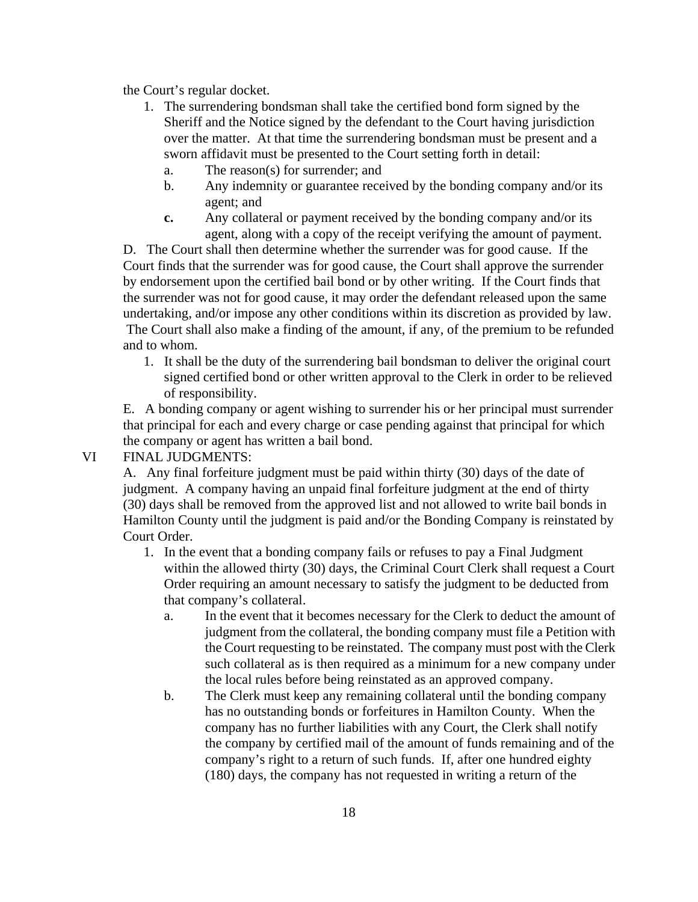the Court's regular docket.

- 1. The surrendering bondsman shall take the certified bond form signed by the Sheriff and the Notice signed by the defendant to the Court having jurisdiction over the matter. At that time the surrendering bondsman must be present and a sworn affidavit must be presented to the Court setting forth in detail:
	- a. The reason(s) for surrender; and
	- b. Any indemnity or guarantee received by the bonding company and/or its agent; and
	- **c.** Any collateral or payment received by the bonding company and/or its agent, along with a copy of the receipt verifying the amount of payment.

D. The Court shall then determine whether the surrender was for good cause. If the Court finds that the surrender was for good cause, the Court shall approve the surrender by endorsement upon the certified bail bond or by other writing. If the Court finds that the surrender was not for good cause, it may order the defendant released upon the same undertaking, and/or impose any other conditions within its discretion as provided by law. The Court shall also make a finding of the amount, if any, of the premium to be refunded and to whom.

 1. It shall be the duty of the surrendering bail bondsman to deliver the original court signed certified bond or other written approval to the Clerk in order to be relieved of responsibility.

E. A bonding company or agent wishing to surrender his or her principal must surrender that principal for each and every charge or case pending against that principal for which the company or agent has written a bail bond.

## VI FINAL JUDGMENTS:

A. Any final forfeiture judgment must be paid within thirty (30) days of the date of judgment. A company having an unpaid final forfeiture judgment at the end of thirty (30) days shall be removed from the approved list and not allowed to write bail bonds in Hamilton County until the judgment is paid and/or the Bonding Company is reinstated by Court Order.

- 1. In the event that a bonding company fails or refuses to pay a Final Judgment within the allowed thirty (30) days, the Criminal Court Clerk shall request a Court Order requiring an amount necessary to satisfy the judgment to be deducted from that company's collateral.
	- a. In the event that it becomes necessary for the Clerk to deduct the amount of judgment from the collateral, the bonding company must file a Petition with the Court requesting to be reinstated. The company must post with the Clerk such collateral as is then required as a minimum for a new company under the local rules before being reinstated as an approved company.
	- b. The Clerk must keep any remaining collateral until the bonding company has no outstanding bonds or forfeitures in Hamilton County. When the company has no further liabilities with any Court, the Clerk shall notify the company by certified mail of the amount of funds remaining and of the company's right to a return of such funds. If, after one hundred eighty (180) days, the company has not requested in writing a return of the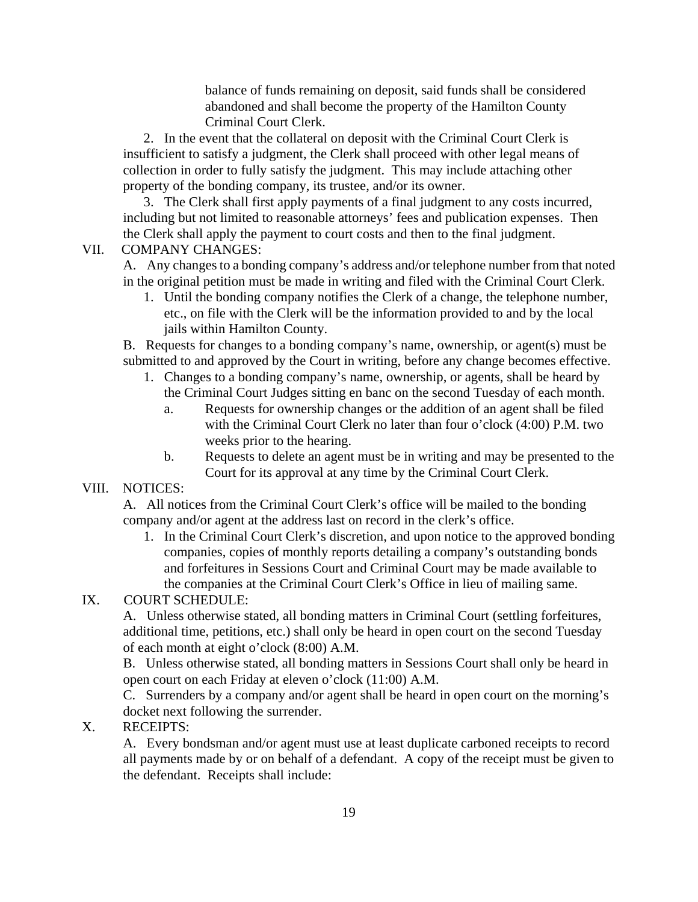balance of funds remaining on deposit, said funds shall be considered abandoned and shall become the property of the Hamilton County Criminal Court Clerk.

 2. In the event that the collateral on deposit with the Criminal Court Clerk is insufficient to satisfy a judgment, the Clerk shall proceed with other legal means of collection in order to fully satisfy the judgment. This may include attaching other property of the bonding company, its trustee, and/or its owner.

 3. The Clerk shall first apply payments of a final judgment to any costs incurred, including but not limited to reasonable attorneys' fees and publication expenses. Then the Clerk shall apply the payment to court costs and then to the final judgment.

### VII. COMPANY CHANGES:

A. Any changes to a bonding company's address and/or telephone number from that noted in the original petition must be made in writing and filed with the Criminal Court Clerk.

 1. Until the bonding company notifies the Clerk of a change, the telephone number, etc., on file with the Clerk will be the information provided to and by the local jails within Hamilton County.

B. Requests for changes to a bonding company's name, ownership, or agent(s) must be submitted to and approved by the Court in writing, before any change becomes effective.

- 1. Changes to a bonding company's name, ownership, or agents, shall be heard by the Criminal Court Judges sitting en banc on the second Tuesday of each month.
	- a. Requests for ownership changes or the addition of an agent shall be filed with the Criminal Court Clerk no later than four o'clock (4:00) P.M. two weeks prior to the hearing.
	- b. Requests to delete an agent must be in writing and may be presented to the Court for its approval at any time by the Criminal Court Clerk.

## VIII. NOTICES:

A. All notices from the Criminal Court Clerk's office will be mailed to the bonding company and/or agent at the address last on record in the clerk's office.

 1. In the Criminal Court Clerk's discretion, and upon notice to the approved bonding companies, copies of monthly reports detailing a company's outstanding bonds and forfeitures in Sessions Court and Criminal Court may be made available to the companies at the Criminal Court Clerk's Office in lieu of mailing same.

## IX. COURT SCHEDULE:

A. Unless otherwise stated, all bonding matters in Criminal Court (settling forfeitures, additional time, petitions, etc.) shall only be heard in open court on the second Tuesday of each month at eight o'clock (8:00) A.M.

B. Unless otherwise stated, all bonding matters in Sessions Court shall only be heard in open court on each Friday at eleven o'clock (11:00) A.M.

C. Surrenders by a company and/or agent shall be heard in open court on the morning's docket next following the surrender.

## X. RECEIPTS:

A. Every bondsman and/or agent must use at least duplicate carboned receipts to record all payments made by or on behalf of a defendant. A copy of the receipt must be given to the defendant. Receipts shall include: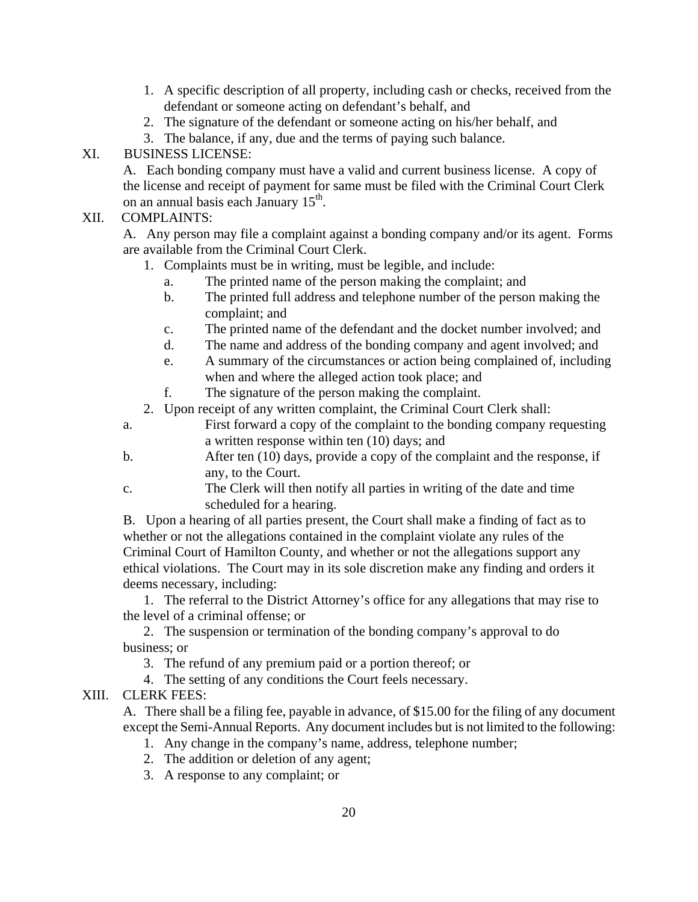- 1. A specific description of all property, including cash or checks, received from the defendant or someone acting on defendant's behalf, and
- 2. The signature of the defendant or someone acting on his/her behalf, and
- 3. The balance, if any, due and the terms of paying such balance.

# XI. BUSINESS LICENSE:

A. Each bonding company must have a valid and current business license. A copy of the license and receipt of payment for same must be filed with the Criminal Court Clerk on an annual basis each January 15<sup>th</sup>.

# XII. COMPLAINTS:

A. Any person may file a complaint against a bonding company and/or its agent. Forms are available from the Criminal Court Clerk.

- 1. Complaints must be in writing, must be legible, and include:
	- a. The printed name of the person making the complaint; and
	- b. The printed full address and telephone number of the person making the complaint; and
	- c. The printed name of the defendant and the docket number involved; and
	- d. The name and address of the bonding company and agent involved; and
	- e. A summary of the circumstances or action being complained of, including when and where the alleged action took place; and
	- f. The signature of the person making the complaint.
- 2. Upon receipt of any written complaint, the Criminal Court Clerk shall:
- a. First forward a copy of the complaint to the bonding company requesting a written response within ten (10) days; and
- b. After ten (10) days, provide a copy of the complaint and the response, if any, to the Court.
- c. The Clerk will then notify all parties in writing of the date and time scheduled for a hearing.

B. Upon a hearing of all parties present, the Court shall make a finding of fact as to whether or not the allegations contained in the complaint violate any rules of the Criminal Court of Hamilton County, and whether or not the allegations support any ethical violations. The Court may in its sole discretion make any finding and orders it deems necessary, including:

 1. The referral to the District Attorney's office for any allegations that may rise to the level of a criminal offense; or

 2. The suspension or termination of the bonding company's approval to do business; or

3. The refund of any premium paid or a portion thereof; or

4. The setting of any conditions the Court feels necessary.

XIII. CLERK FEES:

A. There shall be a filing fee, payable in advance, of \$15.00 for the filing of any document except the Semi-Annual Reports. Any document includes but is not limited to the following:

- 1. Any change in the company's name, address, telephone number;
- 2. The addition or deletion of any agent;
- 3. A response to any complaint; or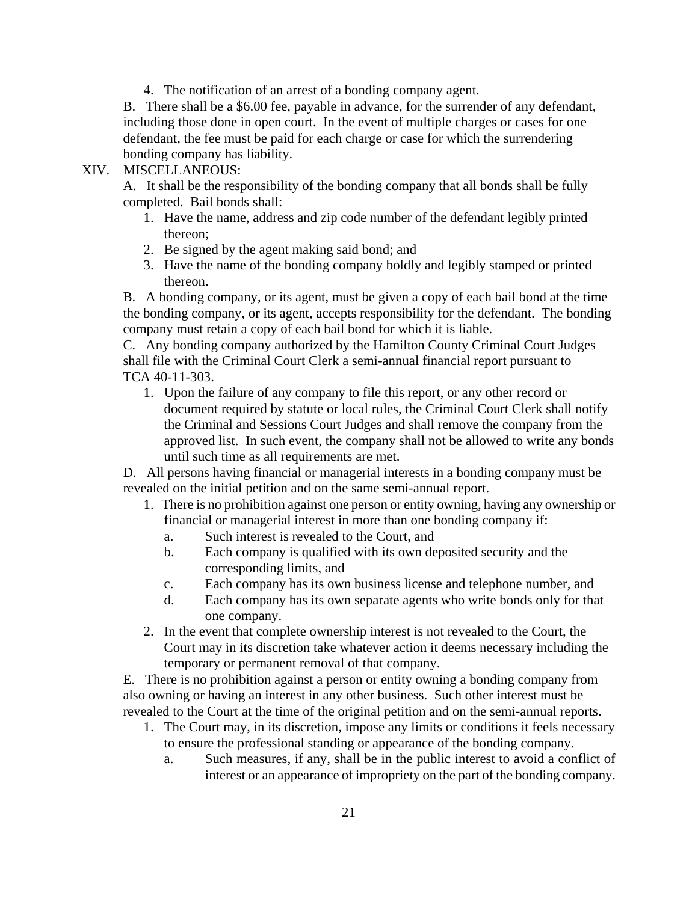4. The notification of an arrest of a bonding company agent.

B. There shall be a \$6.00 fee, payable in advance, for the surrender of any defendant, including those done in open court. In the event of multiple charges or cases for one defendant, the fee must be paid for each charge or case for which the surrendering bonding company has liability.

# XIV. MISCELLANEOUS:

A. It shall be the responsibility of the bonding company that all bonds shall be fully completed. Bail bonds shall:

- 1. Have the name, address and zip code number of the defendant legibly printed thereon;
- 2. Be signed by the agent making said bond; and
- 3. Have the name of the bonding company boldly and legibly stamped or printed thereon.

B. A bonding company, or its agent, must be given a copy of each bail bond at the time the bonding company, or its agent, accepts responsibility for the defendant. The bonding company must retain a copy of each bail bond for which it is liable.

C. Any bonding company authorized by the Hamilton County Criminal Court Judges shall file with the Criminal Court Clerk a semi-annual financial report pursuant to TCA 40-11-303.

 1. Upon the failure of any company to file this report, or any other record or document required by statute or local rules, the Criminal Court Clerk shall notify the Criminal and Sessions Court Judges and shall remove the company from the approved list. In such event, the company shall not be allowed to write any bonds until such time as all requirements are met.

D. All persons having financial or managerial interests in a bonding company must be revealed on the initial petition and on the same semi-annual report.

- 1. There is no prohibition against one person or entity owning, having any ownership or financial or managerial interest in more than one bonding company if:
	- a. Such interest is revealed to the Court, and
	- b. Each company is qualified with its own deposited security and the corresponding limits, and
	- c. Each company has its own business license and telephone number, and
	- d. Each company has its own separate agents who write bonds only for that one company.
- 2. In the event that complete ownership interest is not revealed to the Court, the Court may in its discretion take whatever action it deems necessary including the temporary or permanent removal of that company.

E. There is no prohibition against a person or entity owning a bonding company from also owning or having an interest in any other business. Such other interest must be revealed to the Court at the time of the original petition and on the semi-annual reports.

- 1. The Court may, in its discretion, impose any limits or conditions it feels necessary to ensure the professional standing or appearance of the bonding company.
	- a. Such measures, if any, shall be in the public interest to avoid a conflict of interest or an appearance of impropriety on the part of the bonding company.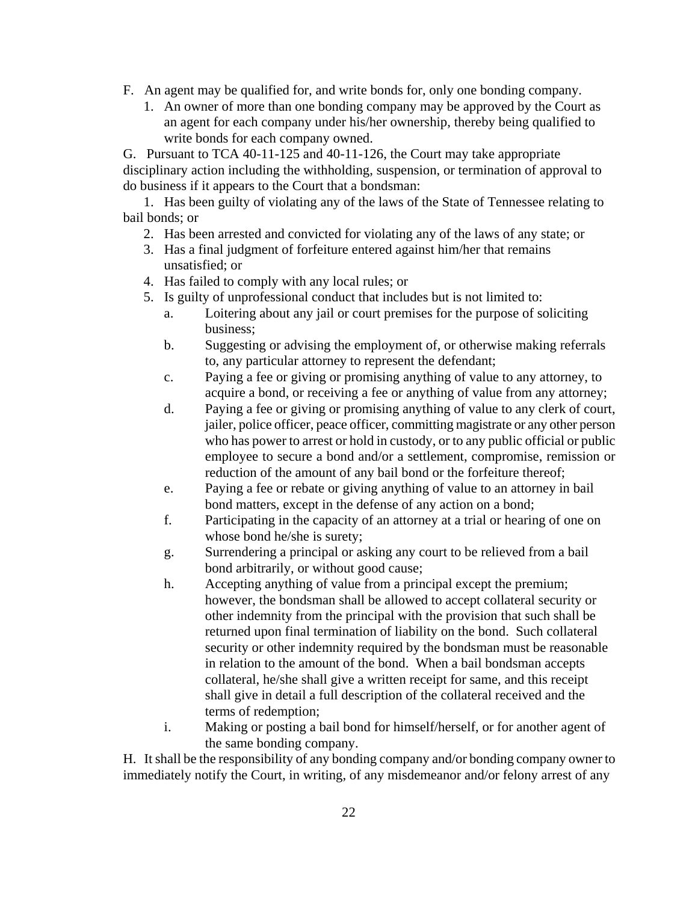- F. An agent may be qualified for, and write bonds for, only one bonding company.
	- 1. An owner of more than one bonding company may be approved by the Court as an agent for each company under his/her ownership, thereby being qualified to write bonds for each company owned.

G. Pursuant to TCA 40-11-125 and 40-11-126, the Court may take appropriate disciplinary action including the withholding, suspension, or termination of approval to do business if it appears to the Court that a bondsman:

1. Has been guilty of violating any of the laws of the State of Tennessee relating to bail bonds; or

- 2. Has been arrested and convicted for violating any of the laws of any state; or
- 3. Has a final judgment of forfeiture entered against him/her that remains unsatisfied; or
- 4. Has failed to comply with any local rules; or
- 5. Is guilty of unprofessional conduct that includes but is not limited to:
	- a. Loitering about any jail or court premises for the purpose of soliciting business;
	- b. Suggesting or advising the employment of, or otherwise making referrals to, any particular attorney to represent the defendant;
	- c. Paying a fee or giving or promising anything of value to any attorney, to acquire a bond, or receiving a fee or anything of value from any attorney;
	- d. Paying a fee or giving or promising anything of value to any clerk of court, jailer, police officer, peace officer, committing magistrate or any other person who has power to arrest or hold in custody, or to any public official or public employee to secure a bond and/or a settlement, compromise, remission or reduction of the amount of any bail bond or the forfeiture thereof;
	- e. Paying a fee or rebate or giving anything of value to an attorney in bail bond matters, except in the defense of any action on a bond;
	- f. Participating in the capacity of an attorney at a trial or hearing of one on whose bond he/she is surety;
	- g. Surrendering a principal or asking any court to be relieved from a bail bond arbitrarily, or without good cause;
	- h. Accepting anything of value from a principal except the premium; however, the bondsman shall be allowed to accept collateral security or other indemnity from the principal with the provision that such shall be returned upon final termination of liability on the bond. Such collateral security or other indemnity required by the bondsman must be reasonable in relation to the amount of the bond. When a bail bondsman accepts collateral, he/she shall give a written receipt for same, and this receipt shall give in detail a full description of the collateral received and the terms of redemption;
	- i. Making or posting a bail bond for himself/herself, or for another agent of the same bonding company.

H. It shall be the responsibility of any bonding company and/or bonding company owner to immediately notify the Court, in writing, of any misdemeanor and/or felony arrest of any